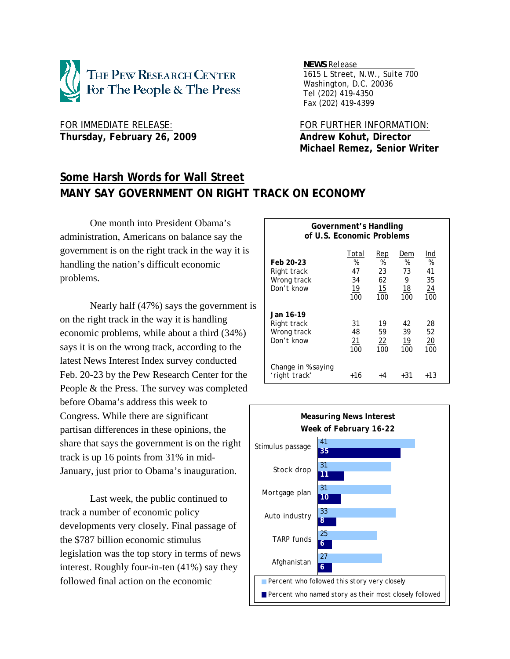

FOR IMMEDIATE RELEASE: FOR FURTHER INFORMATION: Thursday, February 26, 2009 **Andrew Kohut, Director** 

*NEWS Release .*

 *1615 L Street, N.W., Suite 700 Washington, D.C. 20036 Tel (202) 419-4350 Fax (202) 419-4399*

 **Michael Remez, Senior Writer** 

# **Some Harsh Words for Wall Street MANY SAY GOVERNMENT ON RIGHT TRACK ON ECONOMY**

 One month into President Obama's administration, Americans on balance say the government is on the right track in the way it is handling the nation's difficult economic problems.

Nearly half (47%) says the government is on the right track in the way it is handling economic problems, while about a third (34%) says it is on the wrong track, according to the latest News Interest Index survey conducted Feb. 20-23 by the Pew Research Center for the People & the Press. The survey was completed before Obama's address this week to Congress. While there are significant partisan differences in these opinions, the share that says the government is on the right track is up 16 points from 31% in mid-January, just prior to Obama's inauguration.

Last week, the public continued to track a number of economic policy developments very closely. Final passage of the \$787 billion economic stimulus legislation was the top story in terms of news interest. Roughly four-in-ten (41%) say they followed final action on the economic

| of U.S. Economic Problems                             |                                     |                                   |                                         |                                                |  |
|-------------------------------------------------------|-------------------------------------|-----------------------------------|-----------------------------------------|------------------------------------------------|--|
| Feb 20-23<br>Right track<br>Wrong track<br>Don't know | Total<br>%<br>47<br>34<br>19<br>100 | Rep<br>%<br>23<br>62<br>15<br>100 | Dem<br>%<br>73<br>9<br><u>18</u><br>100 | Ind<br>%<br>41<br>35<br>$\overline{24}$<br>100 |  |
| Jan 16-19<br>Right track<br>Wrong track<br>Don't know | 31<br>48<br>21<br>100               | 19<br>59<br><u>22</u><br>100      | 42<br>39<br>19<br>100                   | 28<br>52<br><u>20</u><br>100                   |  |
| Change in % saying<br>'right track'                   | +16                                 | +4                                | +31                                     | +13                                            |  |

**Government's Handling** 

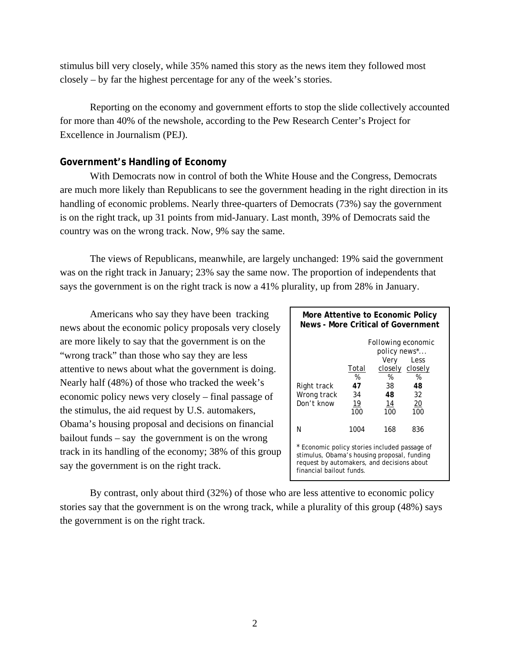stimulus bill very closely, while 35% named this story as the news item they followed most closely – by far the highest percentage for any of the week's stories.

Reporting on the economy and government efforts to stop the slide collectively accounted for more than 40% of the newshole, according to the Pew Research Center's Project for Excellence in Journalism (PEJ).

# **Government's Handling of Economy**

With Democrats now in control of both the White House and the Congress, Democrats are much more likely than Republicans to see the government heading in the right direction in its handling of economic problems. Nearly three-quarters of Democrats (73%) say the government is on the right track, up 31 points from mid-January. Last month, 39% of Democrats said the country was on the wrong track. Now, 9% say the same.

The views of Republicans, meanwhile, are largely unchanged: 19% said the government was on the right track in January; 23% say the same now. The proportion of independents that says the government is on the right track is now a 41% plurality, up from 28% in January.

Americans who say they have been tracking news about the economic policy proposals very closely are more likely to say that the government is on the "wrong track" than those who say they are less attentive to news about what the government is doing. Nearly half (48%) of those who tracked the week's economic policy news very closely – final passage of the stimulus, the aid request by U.S. automakers, Obama's housing proposal and decisions on financial bailout funds – say the government is on the wrong track in its handling of the economy; 38% of this group say the government is on the right track.

| More Attentive to Economic Policy<br>News - More Critical of Government                                                                                                |                                     |                                                                                                    |                                    |  |  |  |
|------------------------------------------------------------------------------------------------------------------------------------------------------------------------|-------------------------------------|----------------------------------------------------------------------------------------------------|------------------------------------|--|--|--|
| Right track<br>Wrong track<br>Don't know                                                                                                                               | Total<br>%<br>47<br>34<br>19<br>100 | <b>Following economic</b><br>policy news*<br>Very<br>closely closely<br>%<br>38<br>48<br>14<br>100 | Less<br>%<br>48<br>32<br>20<br>100 |  |  |  |
| N                                                                                                                                                                      | 1004                                | 168                                                                                                | 836                                |  |  |  |
| * Economic policy stories included passage of<br>stimulus, Obama's housing proposal, funding<br>request by automakers, and decisions about<br>financial bailout funds. |                                     |                                                                                                    |                                    |  |  |  |

By contrast, only about third (32%) of those who are less attentive to economic policy stories say that the government is on the wrong track, while a plurality of this group (48%) says the government is on the right track.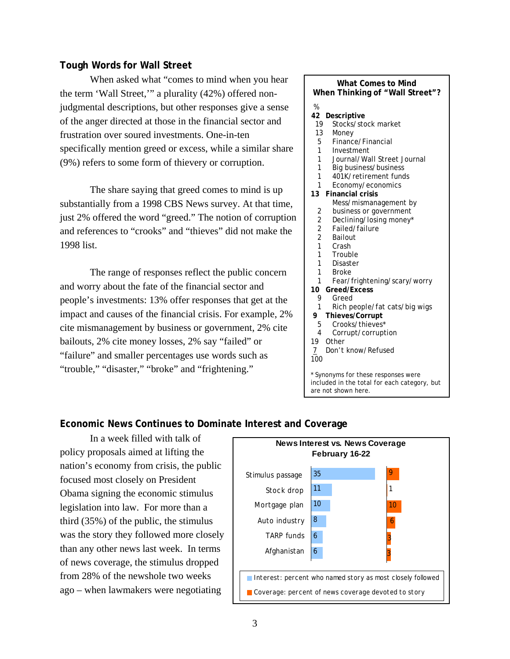## **Tough Words for Wall Street**

When asked what "comes to mind when you hear the term 'Wall Street,'" a plurality (42%) offered nonjudgmental descriptions, but other responses give a sense of the anger directed at those in the financial sector and frustration over soured investments. One-in-ten specifically mention greed or excess, while a similar share (9%) refers to some form of thievery or corruption.

 The share saying that greed comes to mind is up substantially from a 1998 CBS News survey. At that time, just 2% offered the word "greed." The notion of corruption and references to "crooks" and "thieves" did not make the 1998 list.

 The range of responses reflect the public concern and worry about the fate of the financial sector and people's investments: 13% offer responses that get at the impact and causes of the financial crisis. For example, 2% cite mismanagement by business or government, 2% cite bailouts, 2% cite money losses, 2% say "failed" or "failure" and smaller percentages use words such as "trouble," "disaster," "broke" and "frightening."

#### **What Comes to Mind When Thinking of "Wall Street"?**

- %  **42 Descriptive**
- 19 Stocks/stock market
- 13 Money
- 5 Finance/Financial
- 1 Investment
- 1 Journal/Wall Street Journal
- 1 Big business/business
- 1 401K/retirement funds
- 1 Economy/economics
- **13 Financial crisis** 
	- Mess/mismanagement by 2 business or government
	- 2 Declining/losing money\*
	- 2 Failed/failure
	- 2 Bailout
	- 1 Crash
	- 1 Trouble
	- 1 Disaster
	- 1 Broke
	- 1 Fear/frightening/scary/worry
- **10 Greed/Excess**
- 9 Greed
- 1 Rich people/fat cats/big wigs
- **9 Thieves/Corrupt**
- 5 Crooks/thieves\*
- 4 Corrupt/corruption
- 19 Other
- 7 Don't know/Refused

100

\* Synonyms for these responses were included in the total for each category, but are not shown here.

## **Economic News Continues to Dominate Interest and Coverage**

 In a week filled with talk of policy proposals aimed at lifting the nation's economy from crisis, the public focused most closely on President Obama signing the economic stimulus legislation into law. For more than a third (35%) of the public, the stimulus was the story they followed more closely than any other news last week. In terms of news coverage, the stimulus dropped from 28% of the newshole two weeks ago – when lawmakers were negotiating

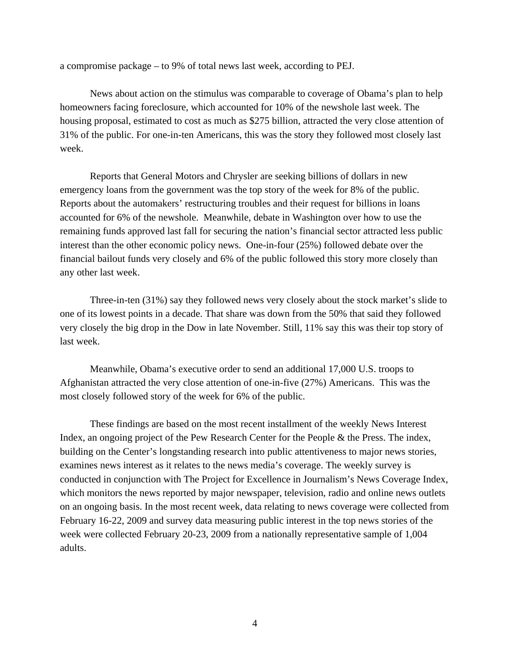a compromise package – to 9% of total news last week, according to PEJ.

News about action on the stimulus was comparable to coverage of Obama's plan to help homeowners facing foreclosure, which accounted for 10% of the newshole last week. The housing proposal, estimated to cost as much as \$275 billion, attracted the very close attention of 31% of the public. For one-in-ten Americans, this was the story they followed most closely last week.

Reports that General Motors and Chrysler are seeking billions of dollars in new emergency loans from the government was the top story of the week for 8% of the public. Reports about the automakers' restructuring troubles and their request for billions in loans accounted for 6% of the newshole. Meanwhile, debate in Washington over how to use the remaining funds approved last fall for securing the nation's financial sector attracted less public interest than the other economic policy news. One-in-four (25%) followed debate over the financial bailout funds very closely and 6% of the public followed this story more closely than any other last week.

Three-in-ten (31%) say they followed news very closely about the stock market's slide to one of its lowest points in a decade. That share was down from the 50% that said they followed very closely the big drop in the Dow in late November. Still, 11% say this was their top story of last week.

Meanwhile, Obama's executive order to send an additional 17,000 U.S. troops to Afghanistan attracted the very close attention of one-in-five (27%) Americans. This was the most closely followed story of the week for 6% of the public.

These findings are based on the most recent installment of the weekly News Interest Index, an ongoing project of the Pew Research Center for the People & the Press. The index, building on the Center's longstanding research into public attentiveness to major news stories, examines news interest as it relates to the news media's coverage. The weekly survey is conducted in conjunction with The Project for Excellence in Journalism's News Coverage Index, which monitors the news reported by major newspaper, television, radio and online news outlets on an ongoing basis. In the most recent week, data relating to news coverage were collected from February 16-22, 2009 and survey data measuring public interest in the top news stories of the week were collected February 20-23, 2009 from a nationally representative sample of 1,004 adults.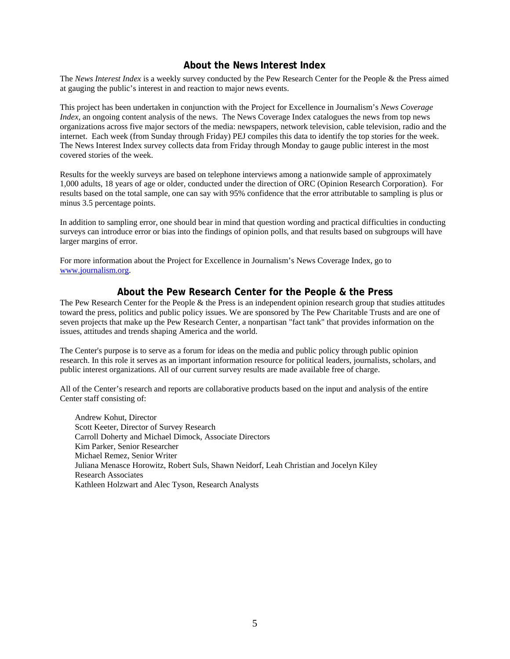## **About the News Interest Index**

The *News Interest Index* is a weekly survey conducted by the Pew Research Center for the People & the Press aimed at gauging the public's interest in and reaction to major news events.

This project has been undertaken in conjunction with the Project for Excellence in Journalism's *News Coverage Index*, an ongoing content analysis of the news. The News Coverage Index catalogues the news from top news organizations across five major sectors of the media: newspapers, network television, cable television, radio and the internet. Each week (from Sunday through Friday) PEJ compiles this data to identify the top stories for the week. The News Interest Index survey collects data from Friday through Monday to gauge public interest in the most covered stories of the week.

Results for the weekly surveys are based on telephone interviews among a nationwide sample of approximately 1,000 adults, 18 years of age or older, conducted under the direction of ORC (Opinion Research Corporation). For results based on the total sample, one can say with 95% confidence that the error attributable to sampling is plus or minus 3.5 percentage points.

In addition to sampling error, one should bear in mind that question wording and practical difficulties in conducting surveys can introduce error or bias into the findings of opinion polls, and that results based on subgroups will have larger margins of error.

For more information about the Project for Excellence in Journalism's News Coverage Index, go to www.journalism.org.

### **About the Pew Research Center for the People & the Press**

The Pew Research Center for the People & the Press is an independent opinion research group that studies attitudes toward the press, politics and public policy issues. We are sponsored by The Pew Charitable Trusts and are one of seven projects that make up the Pew Research Center, a nonpartisan "fact tank" that provides information on the issues, attitudes and trends shaping America and the world.

The Center's purpose is to serve as a forum for ideas on the media and public policy through public opinion research. In this role it serves as an important information resource for political leaders, journalists, scholars, and public interest organizations. All of our current survey results are made available free of charge.

All of the Center's research and reports are collaborative products based on the input and analysis of the entire Center staff consisting of:

 Andrew Kohut, Director Scott Keeter, Director of Survey Research Carroll Doherty and Michael Dimock, Associate Directors Kim Parker, Senior Researcher Michael Remez, Senior Writer Juliana Menasce Horowitz, Robert Suls, Shawn Neidorf, Leah Christian and Jocelyn Kiley Research Associates Kathleen Holzwart and Alec Tyson, Research Analysts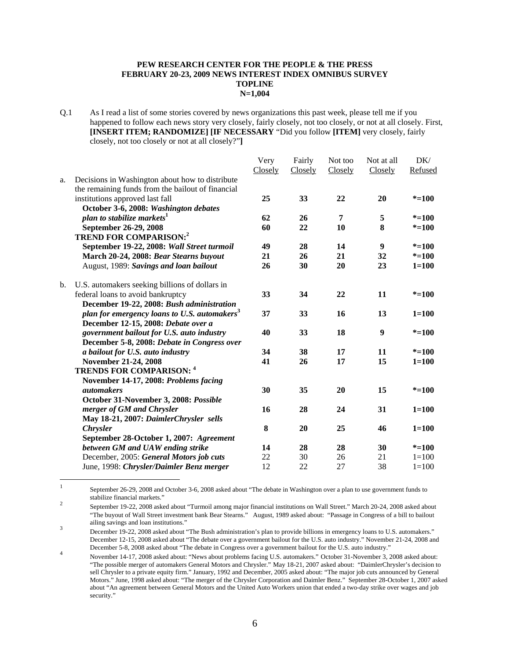#### **PEW RESEARCH CENTER FOR THE PEOPLE & THE PRESS FEBRUARY 20-23, 2009 NEWS INTEREST INDEX OMNIBUS SURVEY TOPLINE N=1,004**

Q.1 As I read a list of some stories covered by news organizations this past week, please tell me if you happened to follow each news story very closely, fairly closely, not too closely, or not at all closely. First, **[INSERT ITEM; RANDOMIZE] [IF NECESSARY** "Did you follow **[ITEM]** very closely, fairly closely, not too closely or not at all closely?"**]** 

|    |                                                          | Very    | Fairly  | Not too | Not at all | DK/       |
|----|----------------------------------------------------------|---------|---------|---------|------------|-----------|
|    |                                                          | Closely | Closely | Closely | Closely    | Refused   |
| a. | Decisions in Washington about how to distribute          |         |         |         |            |           |
|    | the remaining funds from the bailout of financial        |         |         |         |            |           |
|    | institutions approved last fall                          | 25      | 33      | 22      | 20         | $* = 100$ |
|    | October 3-6, 2008: Washington debates                    |         |         |         |            |           |
|    | plan to stabilize markets <sup>1</sup>                   | 62      | 26      | 7       | 5          | $* = 100$ |
|    | September 26-29, 2008                                    | 60      | 22      | 10      | 8          | $* = 100$ |
|    | <b>TREND FOR COMPARISON:2</b>                            |         |         |         |            |           |
|    | September 19-22, 2008: Wall Street turmoil               | 49      | 28      | 14      | 9          | $* = 100$ |
|    | March 20-24, 2008: Bear Stearns buyout                   | 21      | 26      | 21      | 32         | $* = 100$ |
|    | August, 1989: Savings and loan bailout                   | 26      | 30      | 20      | 23         | $1 = 100$ |
| b. | U.S. automakers seeking billions of dollars in           |         |         |         |            |           |
|    | federal loans to avoid bankruptcy                        | 33      | 34      | 22      | 11         | $* = 100$ |
|    | December 19-22, 2008: Bush administration                |         |         |         |            |           |
|    | plan for emergency loans to U.S. automakers <sup>3</sup> | 37      | 33      | 16      | 13         | $1 = 100$ |
|    | December 12-15, 2008: Debate over a                      |         |         |         |            |           |
|    | government bailout for U.S. auto industry                | 40      | 33      | 18      | 9          | $* = 100$ |
|    | December 5-8, 2008: Debate in Congress over              |         |         |         |            |           |
|    | a bailout for U.S. auto industry                         | 34      | 38      | 17      | 11         | $* = 100$ |
|    | November 21-24, 2008                                     | 41      | 26      | 17      | 15         | $1 = 100$ |
|    | <b>TRENDS FOR COMPARISON: 4</b>                          |         |         |         |            |           |
|    | November 14-17, 2008: Problems facing                    |         |         |         |            |           |
|    | <i>automakers</i>                                        | 30      | 35      | 20      | 15         | $* = 100$ |
|    | October 31-November 3, 2008: Possible                    |         |         |         |            |           |
|    | merger of GM and Chrysler                                | 16      | 28      | 24      | 31         | $1 = 100$ |
|    | May 18-21, 2007: DaimlerChrysler sells                   |         |         |         |            |           |
|    | <b>Chrysler</b>                                          | 8       | 20      | 25      | 46         | $1 = 100$ |
|    | September 28-October 1, 2007: Agreement                  |         |         |         |            |           |
|    | between GM and UAW ending strike                         | 14      | 28      | 28      | 30         | $* = 100$ |
|    | December, 2005: General Motors job cuts                  | 22      | 30      | 26      | 21         | $1 = 100$ |
|    | June, 1998: Chrysler/Daimler Benz merger                 | 12      | 22      | 27      | 38         | $1 = 100$ |

 $\frac{1}{1}$  September 26-29, 2008 and October 3-6, 2008 asked about "The debate in Washington over a plan to use government funds to stabilize financial markets." 2

 September 19-22, 2008 asked about "Turmoil among major financial institutions on Wall Street." March 20-24, 2008 asked about "The buyout of Wall Street investment bank Bear Stearns." August, 1989 asked about: "Passage in Congress of a bill to bailout ailing savings and loan institutions." 3

December 19-22, 2008 asked about "The Bush administration's plan to provide billions in emergency loans to U.S. automakers." December 12-15, 2008 asked about "The debate over a government bailout for the U.S. auto industry." November 21-24, 2008 and December 5-8, 2008 asked about "The debate in Congress over a government bailout for the U.S. auto industry." 4

November 14-17, 2008 asked about: "News about problems facing U.S. automakers." October 31-November 3, 2008 asked about: "The possible merger of automakers General Motors and Chrysler." May 18-21, 2007 asked about: "DaimlerChrysler's decision to sell Chrysler to a private equity firm." January, 1992 and December, 2005 asked about: "The major job cuts announced by General Motors." June, 1998 asked about: "The merger of the Chrysler Corporation and Daimler Benz." September 28-October 1, 2007 asked about "An agreement between General Motors and the United Auto Workers union that ended a two-day strike over wages and job security."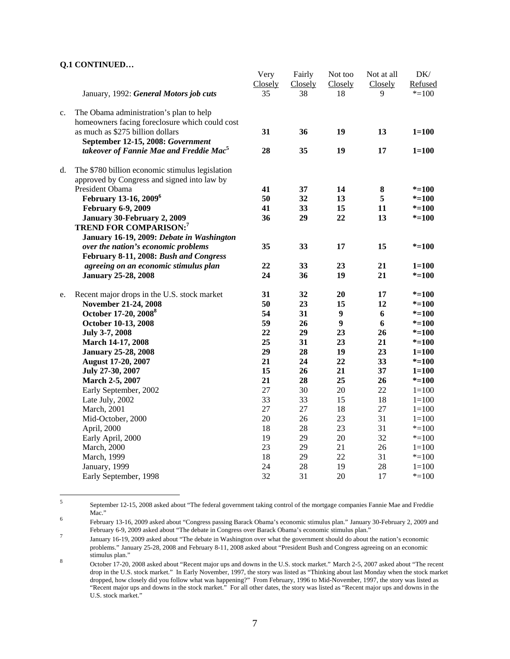#### **Q.1 CONTINUED…**

|    |                                                     | Very    | Fairly  | Not too          | Not at all | DK/       |
|----|-----------------------------------------------------|---------|---------|------------------|------------|-----------|
|    |                                                     | Closely | Closely | Closely          | Closely    | Refused   |
|    | January, 1992: General Motors job cuts              | 35      | 38      | 18               | 9          | $* = 100$ |
| c. | The Obama administration's plan to help             |         |         |                  |            |           |
|    | homeowners facing foreclosure which could cost      |         |         |                  |            |           |
|    | as much as \$275 billion dollars                    | 31      | 36      | 19               | 13         | $1 = 100$ |
|    | September 12-15, 2008: Government                   |         |         |                  |            |           |
|    | takeover of Fannie Mae and Freddie Mac <sup>5</sup> | 28      | 35      | 19               | 17         | $1 = 100$ |
| d. | The \$780 billion economic stimulus legislation     |         |         |                  |            |           |
|    | approved by Congress and signed into law by         |         |         |                  |            |           |
|    | President Obama                                     | 41      | 37      | 14               | $\bf{8}$   | $* = 100$ |
|    | February 13-16, 2009 <sup>6</sup>                   | 50      | 32      | 13               | 5          | $* = 100$ |
|    | <b>February 6-9, 2009</b>                           | 41      | 33      | 15               | 11         | $* = 100$ |
|    | January 30-February 2, 2009                         | 36      | 29      | 22               | 13         | $* = 100$ |
|    | <b>TREND FOR COMPARISON:7</b>                       |         |         |                  |            |           |
|    | January 16-19, 2009: Debate in Washington           |         |         |                  |            |           |
|    | over the nation's economic problems                 | 35      | 33      | 17               | 15         | $* = 100$ |
|    | February 8-11, 2008: Bush and Congress              |         |         |                  |            |           |
|    | agreeing on an economic stimulus plan               | 22      | 33      | 23               | 21         | $1 = 100$ |
|    | <b>January 25-28, 2008</b>                          | 24      | 36      | 19               | 21         | $* = 100$ |
| e. | Recent major drops in the U.S. stock market         | 31      | 32      | 20               | 17         | $* = 100$ |
|    | November 21-24, 2008                                | 50      | 23      | 15               | 12         | $* = 100$ |
|    | October 17-20, 2008 <sup>8</sup>                    | 54      | 31      | $\boldsymbol{9}$ | 6          | $* = 100$ |
|    | October 10-13, 2008                                 | 59      | 26      | $\boldsymbol{9}$ | 6          | $* = 100$ |
|    | July 3-7, 2008                                      | 22      | 29      | 23               | 26         | $* = 100$ |
|    | March 14-17, 2008                                   | 25      | 31      | 23               | 21         | $* = 100$ |
|    | <b>January 25-28, 2008</b>                          | 29      | 28      | 19               | 23         | $1 = 100$ |
|    | <b>August 17-20, 2007</b>                           | 21      | 24      | 22               | 33         | $* = 100$ |
|    | July 27-30, 2007                                    | 15      | 26      | 21               | 37         | $1 = 100$ |
|    | March 2-5, 2007                                     | 21      | 28      | 25               | 26         | $* = 100$ |
|    | Early September, 2002                               | 27      | 30      | 20               | 22         | $1 = 100$ |
|    | Late July, 2002                                     | 33      | 33      | 15               | 18         | $1 = 100$ |
|    | March, 2001                                         | 27      | 27      | 18               | 27         | $1 = 100$ |
|    | Mid-October, 2000                                   | 20      | 26      | 23               | 31         | $1 = 100$ |
|    | April, 2000                                         | 18      | 28      | 23               | 31         | $*=100$   |
|    | Early April, 2000                                   | 19      | 29      | $20\,$           | 32         | $* = 100$ |
|    | March, 2000                                         | 23      | 29      | 21               | 26         | $1 = 100$ |
|    | March, 1999                                         | 18      | 29      | 22               | 31         | $* = 100$ |
|    | January, 1999                                       | 24      | 28      | 19               | 28         | $1 = 100$ |
|    | Early September, 1998                               | 32      | 31      | 20               | 17         | $* = 100$ |
|    |                                                     |         |         |                  |            |           |

 5 September 12-15, 2008 asked about "The federal government taking control of the mortgage companies Fannie Mae and Freddie  $Mac."$ 

February 13-16, 2009 asked about "Congress passing Barack Obama's economic stimulus plan." January 30-February 2, 2009 and February 6-9, 2009 asked about "The debate in Congress over Barack Obama's economic stimulus plan." 7

January 16-19, 2009 asked about "The debate in Washington over what the government should do about the nation's economic problems." January 25-28, 2008 and February 8-11, 2008 asked about "President Bush and Congress agreeing on an economic stimulus plan." 8

October 17-20, 2008 asked about "Recent major ups and downs in the U.S. stock market." March 2-5, 2007 asked about "The recent drop in the U.S. stock market." In Early November, 1997, the story was listed as "Thinking about last Monday when the stock market dropped, how closely did you follow what was happening?" From February, 1996 to Mid-November, 1997, the story was listed as "Recent major ups and downs in the stock market." For all other dates, the story was listed as "Recent major ups and downs in the U.S. stock market."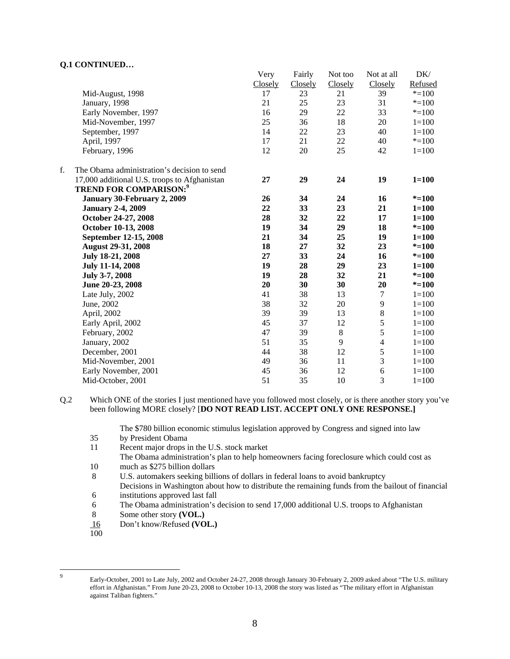#### **Q.1 CONTINUED…**

|    |                                              | Very    | Fairly  | Not too | Not at all     | DK/       |
|----|----------------------------------------------|---------|---------|---------|----------------|-----------|
|    |                                              | Closely | Closely | Closely | Closely        | Refused   |
|    | Mid-August, 1998                             | 17      | 23      | 21      | 39             | $* = 100$ |
|    | January, 1998                                | 21      | 25      | 23      | 31             | $* = 100$ |
|    | Early November, 1997                         | 16      | 29      | 22      | 33             | $* = 100$ |
|    | Mid-November, 1997                           | 25      | 36      | 18      | 20             | $1 = 100$ |
|    | September, 1997                              | 14      | $22\,$  | 23      | 40             | $1 = 100$ |
|    | April, 1997                                  | 17      | 21      | 22      | 40             | $* = 100$ |
|    | February, 1996                               | 12      | 20      | 25      | 42             | $1 = 100$ |
| f. | The Obama administration's decision to send  |         |         |         |                |           |
|    | 17,000 additional U.S. troops to Afghanistan | 27      | 29      | 24      | 19             | $1 = 100$ |
|    | <b>TREND FOR COMPARISON:</b> <sup>9</sup>    |         |         |         |                |           |
|    | January 30-February 2, 2009                  | 26      | 34      | 24      | 16             | $* = 100$ |
|    | <b>January 2-4, 2009</b>                     | 22      | 33      | 23      | 21             | $1 = 100$ |
|    | October 24-27, 2008                          | 28      | 32      | 22      | 17             | $1 = 100$ |
|    | October 10-13, 2008                          | 19      | 34      | 29      | 18             | $* = 100$ |
|    | September 12-15, 2008                        | 21      | 34      | 25      | 19             | $1 = 100$ |
|    | <b>August 29-31, 2008</b>                    | 18      | 27      | 32      | 23             | $* = 100$ |
|    | July 18-21, 2008                             | 27      | 33      | 24      | 16             | $* = 100$ |
|    | <b>July 11-14, 2008</b>                      | 19      | 28      | 29      | 23             | $1 = 100$ |
|    | July 3-7, 2008                               | 19      | 28      | 32      | 21             | $* = 100$ |
|    | June 20-23, 2008                             | 20      | 30      | 30      | 20             | $* = 100$ |
|    | Late July, 2002                              | 41      | 38      | 13      | 7              | $1 = 100$ |
|    | June, 2002                                   | 38      | 32      | 20      | 9              | $1 = 100$ |
|    | April, 2002                                  | 39      | 39      | 13      | $8\,$          | $1 = 100$ |
|    | Early April, 2002                            | 45      | 37      | 12      | 5              | $1 = 100$ |
|    | February, 2002                               | 47      | 39      | $\,8\,$ | 5              | $1 = 100$ |
|    | January, 2002                                | 51      | 35      | 9       | $\overline{4}$ | $1 = 100$ |
|    | December, 2001                               | 44      | 38      | 12      | 5              | $1 = 100$ |
|    | Mid-November, 2001                           | 49      | 36      | 11      | 3              | $1 = 100$ |
|    | Early November, 2001                         | 45      | 36      | 12      | 6              | $1 = 100$ |
|    | Mid-October, 2001                            | 51      | 35      | 10      | 3              | $1 = 100$ |

Q.2 Which ONE of the stories I just mentioned have you followed most closely, or is there another story you've been following MORE closely? [**DO NOT READ LIST. ACCEPT ONLY ONE RESPONSE.]** 

The \$780 billion economic stimulus legislation approved by Congress and signed into law

- 35 by President Obama
- 11 Recent major drops in the U.S. stock market

The Obama administration's plan to help homeowners facing foreclosure which could cost as 10 much as \$275 billion dollars

8 U.S. automakers seeking billions of dollars in federal loans to avoid bankruptcy

Decisions in Washington about how to distribute the remaining funds from the bailout of financial 6 institutions approved last fall

- 6 The Obama administration's decision to send 17,000 additional U.S. troops to Afghanistan
- 8 Some other story **(VOL.)**
- 16 Don't know/Refused **(VOL.)**
- 100

-<br>9

Early-October, 2001 to Late July, 2002 and October 24-27, 2008 through January 30-February 2, 2009 asked about "The U.S. military effort in Afghanistan." From June 20-23, 2008 to October 10-13, 2008 the story was listed as "The military effort in Afghanistan against Taliban fighters."